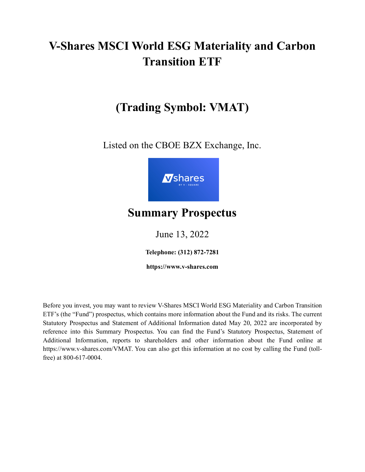# **V-Shares MSCI World ESG Materiality and Carbon Transition ETF**

## **(Trading Symbol: VMAT)**

Listed on the CBOE BZX Exchange, Inc.



## **Summary Prospectus**

June 13, 2022

**Telephone: (312) 872-7281**

**https://www.v-shares.com**

Before you invest, you may want to review V-Shares MSCI World ESG Materiality and Carbon Transition ETF's (the "Fund") prospectus, which contains more information about the Fund and its risks. The current Statutory Prospectus and Statement of Additional Information dated May 20, 2022 are incorporated by reference into this Summary Prospectus. You can find the Fund's Statutory Prospectus, Statement of Additional Information, reports to shareholders and other information about the Fund online at https://www.v-shares.com/VMAT. You can also get this information at no cost by calling the Fund (tollfree) at 800-617-0004.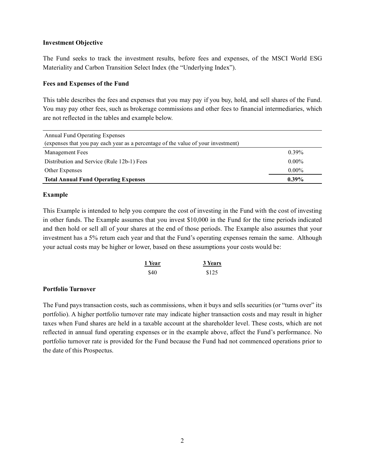#### **Investment Objective**

The Fund seeks to track the investment results, before fees and expenses, of the MSCI World ESG Materiality and Carbon Transition Select Index (the "Underlying Index").

## **Fees and Expenses of the Fund**

This table describes the fees and expenses that you may pay if you buy, hold, and sell shares of the Fund. You may pay other fees, such as brokerage commissions and other fees to financial intermediaries, which are not reflected in the tables and example below.

| <b>Annual Fund Operating Expenses</b>                                             |          |  |  |  |
|-----------------------------------------------------------------------------------|----------|--|--|--|
| (expenses that you pay each year as a percentage of the value of your investment) |          |  |  |  |
| Management Fees                                                                   | $0.39\%$ |  |  |  |
| Distribution and Service (Rule 12b-1) Fees                                        | $0.00\%$ |  |  |  |
| Other Expenses                                                                    | $0.00\%$ |  |  |  |
| <b>Total Annual Fund Operating Expenses</b>                                       | $0.39\%$ |  |  |  |

## **Example**

This Example is intended to help you compare the cost of investing in the Fund with the cost of investing in other funds. The Example assumes that you invest \$10,000 in the Fund for the time periods indicated and then hold or sell all of your shares at the end of those periods. The Example also assumes that your investment has a 5% return each year and that the Fund's operating expenses remain the same. Although your actual costs may be higher or lower, based on these assumptions your costs would be:

| 1 Year | 3 Years |
|--------|---------|
| \$40   | \$125   |

## **Portfolio Turnover**

The Fund pays transaction costs, such as commissions, when it buys and sells securities (or "turns over" its portfolio). A higher portfolio turnover rate may indicate higher transaction costs and may result in higher taxes when Fund shares are held in a taxable account at the shareholder level. These costs, which are not reflected in annual fund operating expenses or in the example above, affect the Fund's performance. No portfolio turnover rate is provided for the Fund because the Fund had not commenced operations prior to the date of this Prospectus.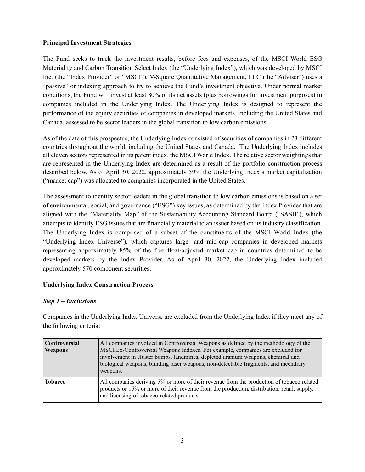## **Principal Investment Strategies**

The Fund seeks to track the investment results, before fees and expenses, of the MSCI World ESG Materiality and Carbon Transition Select Index (the "Underlying Index"), which was developed by MSCI Inc. (the "Index Provider" or "MSCI"). V-Square Quantitative Management, LLC (the "Adviser") uses a "passive" or indexing approach to try to achieve the Fund's investment objective. Under normal market conditions, the Fund will invest at least 80% of its net assets (plus borrowings for investment purposes) in companies included in the Underlying Index. The Underlying Index is designed to represent the performance of the equity securities of companies in developed markets, including the United States and Canada, assessed to be sector leaders in the global transition to low carbon emissions.

As of the date of this prospectus, the Underlying Index consisted of securities of companies in 23 different countries throughout the world, including the United States and Canada. The Underlying Index includes all eleven sectors represented in its parent index, the MSCI World Index. The relative sector weightings that are represented in the Underlying Index are determined as a result of the portfolio construction process described below. As of April 30, 2022, approximately 59% the Underlying Index's market capitalization ("market cap") was allocated to companies incorporated in the United States.

The assessment to identify sector leaders in the global transition to low carbon emissions is based on a set of environmental, social, and governance ("ESG") key issues, as determined by the Index Provider that are aligned with the "Materiality Map" of the Sustainability Accounting Standard Board ("SASB"), which attempts to identify ESG issues that are financially material to an issuer based on its industry classification. The Underlying Index is comprised of a subset of the constituents of the MSCI World Index (the "Underlying Index Universe"), which captures large- and mid-cap companies in developed markets representing approximately 85% of the free float-adjusted market cap in countries determined to be developed markets by the Index Provider. As of April 30, 2022, the Underlying Index included approximately 570 component securities.

## **Underlying Index Construction Process**

## *Step 1 – Exclusions*

Companies in the Underlying Index Universe are excluded from the Underlying Index if they meet any of the following criteria:

| <b>Controversial</b><br>Weapons | All companies involved in Controversial Weapons as defined by the methodology of the<br>MSCI Ex-Controversial Weapons Indexes. For example, companies are excluded for<br>involvement in cluster bombs, landmines, depleted uranium weapons, chemical and<br>biological weapons, blinding laser weapons, non-detectable fragments, and incendiary<br>weapons. |
|---------------------------------|---------------------------------------------------------------------------------------------------------------------------------------------------------------------------------------------------------------------------------------------------------------------------------------------------------------------------------------------------------------|
| <b>Tobacco</b>                  | All companies deriving 5% or more of their revenue from the production of tobacco related<br>products or 15% or more of their revenue from the production, distribution, retail, supply,<br>and licensing of tobacco-related products.                                                                                                                        |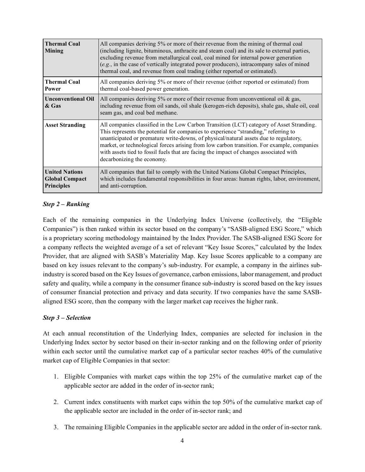| <b>Thermal Coal</b><br><b>Mining</b>                                | All companies deriving 5% or more of their revenue from the mining of thermal coal<br>(including lignite, bituminous, anthracite and steam coal) and its sale to external parties,<br>excluding revenue from metallurgical coal, coal mined for internal power generation<br>(e.g., in the case of vertically integrated power producers), intracompany sales of mined<br>thermal coal, and revenue from coal trading (either reported or estimated).                                          |
|---------------------------------------------------------------------|------------------------------------------------------------------------------------------------------------------------------------------------------------------------------------------------------------------------------------------------------------------------------------------------------------------------------------------------------------------------------------------------------------------------------------------------------------------------------------------------|
| <b>Thermal Coal</b><br>Power                                        | All companies deriving 5% or more of their revenue (either reported or estimated) from<br>thermal coal-based power generation.                                                                                                                                                                                                                                                                                                                                                                 |
| <b>Unconventional Oil</b><br>& Gas                                  | All companies deriving 5% or more of their revenue from unconventional oil & gas,<br>including revenue from oil sands, oil shale (kerogen-rich deposits), shale gas, shale oil, coal<br>seam gas, and coal bed methane.                                                                                                                                                                                                                                                                        |
| <b>Asset Stranding</b>                                              | All companies classified in the Low Carbon Transition (LCT) category of Asset Stranding.<br>This represents the potential for companies to experience "stranding," referring to<br>unanticipated or premature write-downs, of physical/natural assets due to regulatory,<br>market, or technological forces arising from low carbon transition. For example, companies<br>with assets tied to fossil fuels that are facing the impact of changes associated with<br>decarbonizing the economy. |
| <b>United Nations</b><br><b>Global Compact</b><br><b>Principles</b> | All companies that fail to comply with the United Nations Global Compact Principles,<br>which includes fundamental responsibilities in four areas: human rights, labor, environment,<br>and anti-corruption.                                                                                                                                                                                                                                                                                   |

## *Step 2 – Ranking*

Each of the remaining companies in the Underlying Index Universe (collectively, the "Eligible Companies") is then ranked within its sector based on the company's "SASB-aligned ESG Score," which is a proprietary scoring methodology maintained by the Index Provider. The SASB-aligned ESG Score for a company reflects the weighted average of a set of relevant "Key Issue Scores," calculated by the Index Provider, that are aligned with SASB's Materiality Map. Key Issue Scores applicable to a company are based on key issues relevant to the company's sub-industry. For example, a company in the airlines subindustry is scored based on the Key Issues of governance, carbon emissions, labor management, and product safety and quality, while a company in the consumer finance sub-industry is scored based on the key issues of consumer financial protection and privacy and data security. If two companies have the same SASBaligned ESG score, then the company with the larger market cap receives the higher rank.

## *Step 3 – Selection*

At each annual reconstitution of the Underlying Index, companies are selected for inclusion in the Underlying Index sector by sector based on their in-sector ranking and on the following order of priority within each sector until the cumulative market cap of a particular sector reaches 40% of the cumulative market cap of Eligible Companies in that sector:

- 1. Eligible Companies with market caps within the top 25% of the cumulative market cap of the applicable sector are added in the order of in-sector rank;
- 2. Current index constituents with market caps within the top 50% of the cumulative market cap of the applicable sector are included in the order of in-sector rank; and
- 3. The remaining Eligible Companies in the applicable sector are added in the order of in-sector rank.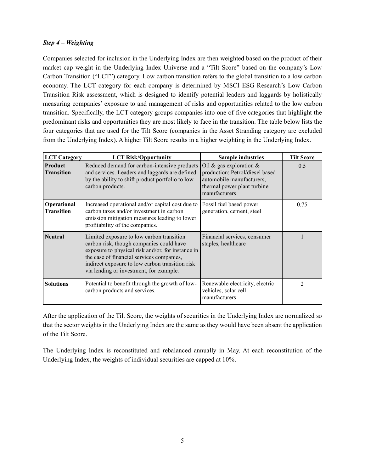## *Step 4 – Weighting*

Companies selected for inclusion in the Underlying Index are then weighted based on the product of their market cap weight in the Underlying Index Universe and a "Tilt Score" based on the company's Low Carbon Transition ("LCT") category. Low carbon transition refers to the global transition to a low carbon economy. The LCT category for each company is determined by MSCI ESG Research's Low Carbon Transition Risk assessment, which is designed to identify potential leaders and laggards by holistically measuring companies' exposure to and management of risks and opportunities related to the low carbon transition. Specifically, the LCT category groups companies into one of five categories that highlight the predominant risks and opportunities they are most likely to face in the transition. The table below lists the four categories that are used for the Tilt Score (companies in the Asset Stranding category are excluded from the Underlying Index). A higher Tilt Score results in a higher weighting in the Underlying Index.

| <b>LCT</b> Category              | <b>LCT Risk/Opportunity</b>                                                                                                                                                                                                                                                           | <b>Sample industries</b>                                                                                                                  | <b>Tilt Score</b> |
|----------------------------------|---------------------------------------------------------------------------------------------------------------------------------------------------------------------------------------------------------------------------------------------------------------------------------------|-------------------------------------------------------------------------------------------------------------------------------------------|-------------------|
| Product<br><b>Transition</b>     | Reduced demand for carbon-intensive products<br>and services. Leaders and laggards are defined<br>by the ability to shift product portfolio to low-<br>carbon products.                                                                                                               | Oil & gas exploration $&$<br>production; Petrol/diesel based<br>automobile manufacturers,<br>thermal power plant turbine<br>manufacturers | 0.5               |
| Operational<br><b>Transition</b> | Increased operational and/or capital cost due to<br>carbon taxes and/or investment in carbon<br>emission mitigation measures leading to lower<br>profitability of the companies.                                                                                                      | Fossil fuel based power<br>generation, cement, steel                                                                                      | 0.75              |
| <b>Neutral</b>                   | Limited exposure to low carbon transition<br>carbon risk, though companies could have<br>exposure to physical risk and/or, for instance in<br>the case of financial services companies,<br>indirect exposure to low carbon transition risk<br>via lending or investment, for example. | Financial services, consumer<br>staples, healthcare                                                                                       |                   |
| <b>Solutions</b>                 | Potential to benefit through the growth of low-<br>carbon products and services.                                                                                                                                                                                                      | Renewable electricity, electric<br>vehicles, solar cell<br>manufacturers                                                                  | $\mathfrak{D}$    |

After the application of the Tilt Score, the weights of securities in the Underlying Index are normalized so that the sector weights in the Underlying Index are the same as they would have been absent the application of the Tilt Score.

The Underlying Index is reconstituted and rebalanced annually in May. At each reconstitution of the Underlying Index, the weights of individual securities are capped at 10%.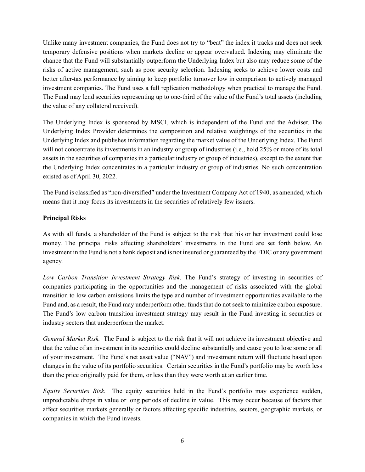Unlike many investment companies, the Fund does not try to "beat" the index it tracks and does not seek temporary defensive positions when markets decline or appear overvalued. Indexing may eliminate the chance that the Fund will substantially outperform the Underlying Index but also may reduce some of the risks of active management, such as poor security selection. Indexing seeks to achieve lower costs and better after-tax performance by aiming to keep portfolio turnover low in comparison to actively managed investment companies. The Fund uses a full replication methodology when practical to manage the Fund. The Fund may lend securities representing up to one-third of the value of the Fund's total assets (including the value of any collateral received).

The Underlying Index is sponsored by MSCI, which is independent of the Fund and the Adviser. The Underlying Index Provider determines the composition and relative weightings of the securities in the Underlying Index and publishes information regarding the market value of the Underlying Index. The Fund will not concentrate its investments in an industry or group of industries (i.e., hold 25% or more of its total assets in the securities of companies in a particular industry or group of industries), except to the extent that the Underlying Index concentrates in a particular industry or group of industries. No such concentration existed as of April 30, 2022.

The Fund is classified as "non-diversified" under the Investment Company Act of 1940, as amended, which means that it may focus its investments in the securities of relatively few issuers.

## **Principal Risks**

As with all funds, a shareholder of the Fund is subject to the risk that his or her investment could lose money. The principal risks affecting shareholders' investments in the Fund are set forth below. An investment in the Fund is not a bank deposit and is not insured or guaranteed by the FDIC or any government agency.

*Low Carbon Transition Investment Strategy Risk.* The Fund's strategy of investing in securities of companies participating in the opportunities and the management of risks associated with the global transition to low carbon emissions limits the type and number of investment opportunities available to the Fund and, as a result, the Fund may underperform other funds that do not seek to minimize carbon exposure. The Fund's low carbon transition investment strategy may result in the Fund investing in securities or industry sectors that underperform the market.

*General Market Risk.* The Fund is subject to the risk that it will not achieve its investment objective and that the value of an investment in its securities could decline substantially and cause you to lose some or all of your investment. The Fund's net asset value ("NAV") and investment return will fluctuate based upon changes in the value of its portfolio securities. Certain securities in the Fund's portfolio may be worth less than the price originally paid for them, or less than they were worth at an earlier time.

*Equity Securities Risk.* The equity securities held in the Fund's portfolio may experience sudden, unpredictable drops in value or long periods of decline in value. This may occur because of factors that affect securities markets generally or factors affecting specific industries, sectors, geographic markets, or companies in which the Fund invests.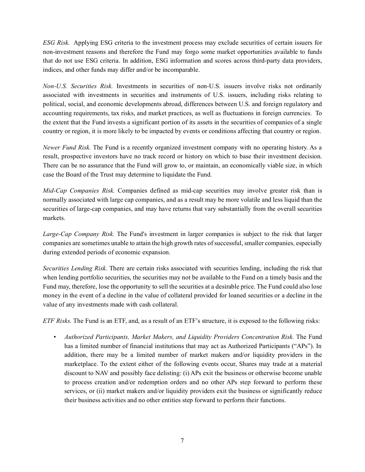*ESG Risk.* Applying ESG criteria to the investment process may exclude securities of certain issuers for non-investment reasons and therefore the Fund may forgo some market opportunities available to funds that do not use ESG criteria. In addition, ESG information and scores across third-party data providers, indices, and other funds may differ and/or be incomparable.

*Non-U.S. Securities Risk.* Investments in securities of non-U.S. issuers involve risks not ordinarily associated with investments in securities and instruments of U.S. issuers, including risks relating to political, social, and economic developments abroad, differences between U.S. and foreign regulatory and accounting requirements, tax risks, and market practices, as well as fluctuations in foreign currencies. To the extent that the Fund invests a significant portion of its assets in the securities of companies of a single country or region, it is more likely to be impacted by events or conditions affecting that country or region.

*Newer Fund Risk.* The Fund is a recently organized investment company with no operating history. As a result, prospective investors have no track record or history on which to base their investment decision. There can be no assurance that the Fund will grow to, or maintain, an economically viable size, in which case the Board of the Trust may determine to liquidate the Fund.

*Mid-Cap Companies Risk.* Companies defined as mid-cap securities may involve greater risk than is normally associated with large cap companies, and as a result may be more volatile and less liquid than the securities of large-cap companies, and may have returns that vary substantially from the overall securities markets.

*Large-Cap Company Risk.* The Fund's investment in larger companies is subject to the risk that larger companies are sometimes unable to attain the high growth rates of successful, smaller companies, especially during extended periods of economic expansion.

*Securities Lending Risk.* There are certain risks associated with securities lending, including the risk that when lending portfolio securities, the securities may not be available to the Fund on a timely basis and the Fund may, therefore, lose the opportunity to sell the securities at a desirable price. The Fund could also lose money in the event of a decline in the value of collateral provided for loaned securities or a decline in the value of any investments made with cash collateral.

*ETF Risks.* The Fund is an ETF, and, as a result of an ETF's structure, it is exposed to the following risks:

• *Authorized Participants, Market Makers, and Liquidity Providers Concentration Risk.* The Fund has a limited number of financial institutions that may act as Authorized Participants ("APs"). In addition, there may be a limited number of market makers and/or liquidity providers in the marketplace. To the extent either of the following events occur, Shares may trade at a material discount to NAV and possibly face delisting: (i) APs exit the business or otherwise become unable to process creation and/or redemption orders and no other APs step forward to perform these services, or (ii) market makers and/or liquidity providers exit the business or significantly reduce their business activities and no other entities step forward to perform their functions.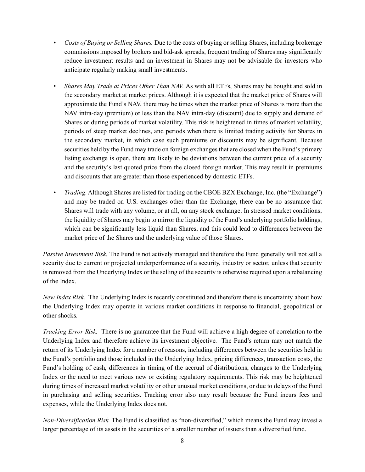- *Costs of Buying or Selling Shares.* Due to the costs of buying or selling Shares, including brokerage commissions imposed by brokers and bid-ask spreads, frequent trading of Shares may significantly reduce investment results and an investment in Shares may not be advisable for investors who anticipate regularly making small investments.
- *Shares May Trade at Prices Other Than NAV.* As with all ETFs, Shares may be bought and sold in the secondary market at market prices. Although it is expected that the market price of Shares will approximate the Fund's NAV, there may be times when the market price of Shares is more than the NAV intra-day (premium) or less than the NAV intra-day (discount) due to supply and demand of Shares or during periods of market volatility. This risk is heightened in times of market volatility, periods of steep market declines, and periods when there is limited trading activity for Shares in the secondary market, in which case such premiums or discounts may be significant. Because securities held by the Fund may trade on foreign exchanges that are closed when the Fund's primary listing exchange is open, there are likely to be deviations between the current price of a security and the security's last quoted price from the closed foreign market. This may result in premiums and discounts that are greater than those experienced by domestic ETFs.
- *Trading.*Although Shares are listed for trading on the CBOE BZX Exchange, Inc. (the "Exchange") and may be traded on U.S. exchanges other than the Exchange, there can be no assurance that Shares will trade with any volume, or at all, on any stock exchange. In stressed market conditions, the liquidity of Shares may begin to mirror the liquidity of the Fund's underlying portfolio holdings, which can be significantly less liquid than Shares, and this could lead to differences between the market price of the Shares and the underlying value of those Shares.

*Passive Investment Risk.* The Fund is not actively managed and therefore the Fund generally will not sell a security due to current or projected underperformance of a security, industry or sector, unless that security is removed from the Underlying Index or the selling of the security is otherwise required upon a rebalancing of the Index.

*New Index Risk.* The Underlying Index is recently constituted and therefore there is uncertainty about how the Underlying Index may operate in various market conditions in response to financial, geopolitical or other shocks.

*Tracking Error Risk.* There is no guarantee that the Fund will achieve a high degree of correlation to the Underlying Index and therefore achieve its investment objective. The Fund's return may not match the return of its Underlying Index for a number of reasons, including differences between the securities held in the Fund's portfolio and those included in the Underlying Index, pricing differences, transaction costs, the Fund's holding of cash, differences in timing of the accrual of distributions, changes to the Underlying Index or the need to meet various new or existing regulatory requirements. This risk may be heightened during times of increased market volatility or other unusual market conditions, or due to delays of the Fund in purchasing and selling securities. Tracking error also may result because the Fund incurs fees and expenses, while the Underlying Index does not.

*Non-Diversification Risk.* The Fund is classified as "non-diversified," which means the Fund may invest a larger percentage of its assets in the securities of a smaller number of issuers than a diversified fund.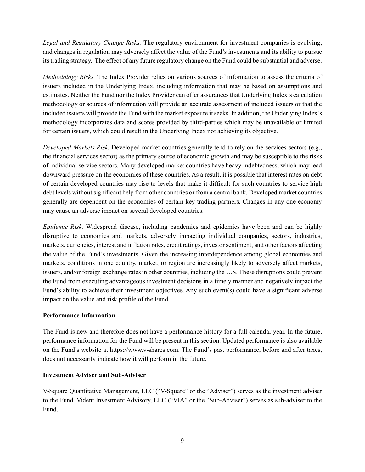*Legal and Regulatory Change Risks.* The regulatory environment for investment companies is evolving, and changes in regulation may adversely affect the value of the Fund's investments and its ability to pursue its trading strategy. The effect of any future regulatory change on the Fund could be substantial and adverse.

*Methodology Risks.* The Index Provider relies on various sources of information to assess the criteria of issuers included in the Underlying Index, including information that may be based on assumptions and estimates. Neither the Fund nor the Index Provider can offer assurances that Underlying Index's calculation methodology or sources of information will provide an accurate assessment of included issuers or that the included issuers will provide the Fund with the market exposure it seeks. In addition, the Underlying Index's methodology incorporates data and scores provided by third-parties which may be unavailable or limited for certain issuers, which could result in the Underlying Index not achieving its objective.

*Developed Markets Risk.* Developed market countries generally tend to rely on the services sectors (e.g., the financial services sector) as the primary source of economic growth and may be susceptible to the risks of individual service sectors. Many developed market countries have heavy indebtedness, which may lead downward pressure on the economies of these countries. As a result, it is possible that interest rates on debt of certain developed countries may rise to levels that make it difficult for such countries to service high debt levels without significant help from other countries or from a central bank. Developed market countries generally are dependent on the economies of certain key trading partners. Changes in any one economy may cause an adverse impact on several developed countries.

*Epidemic Risk.* Widespread disease, including pandemics and epidemics have been and can be highly disruptive to economies and markets, adversely impacting individual companies, sectors, industries, markets, currencies, interest and inflation rates, credit ratings, investor sentiment, and other factors affecting the value of the Fund's investments. Given the increasing interdependence among global economies and markets, conditions in one country, market, or region are increasingly likely to adversely affect markets, issuers, and/or foreign exchange rates in other countries, including the U.S. These disruptions could prevent the Fund from executing advantageous investment decisions in a timely manner and negatively impact the Fund's ability to achieve their investment objectives. Any such event(s) could have a significant adverse impact on the value and risk profile of the Fund.

## **Performance Information**

The Fund is new and therefore does not have a performance history for a full calendar year. In the future, performance information for the Fund will be present in this section. Updated performance is also available on the Fund's website at https://www.v-shares.com. The Fund's past performance, before and after taxes, does not necessarily indicate how it will perform in the future.

## **Investment Adviser and Sub-Adviser**

V-Square Quantitative Management, LLC ("V-Square" or the "Adviser") serves as the investment adviser to the Fund. Vident Investment Advisory, LLC ("VIA" or the "Sub-Adviser") serves as sub-adviser to the Fund.